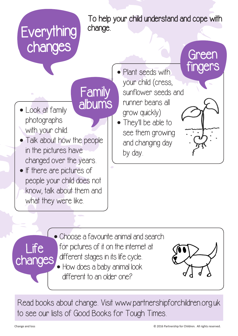

**•** Choose a favourite animal and search for pictures of it on the internet at different stages in its life cycle. **•** How does a baby animal look different to an older one? Life changes

Read books about change. Visit www.partnershipforchildren.org.uk to see our lists of Good Books for Tough Times.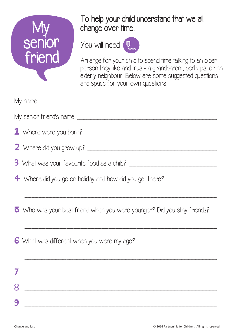

# To help your child understand that we all change over time.

You will need



Arrange for your child to spend time talking to an older person they like and trust- a grandparent, perhaps, or an elderly neighbour. Below are some suggested questions and space for your own questions.

|   | 1 Where were you born?                                                  |
|---|-------------------------------------------------------------------------|
|   |                                                                         |
|   |                                                                         |
|   | 4 Where did you go on holiday and how did you get there?                |
|   |                                                                         |
|   | 5 Who was your best friend when you were younger? Did you stay friends? |
|   | 6 What was different when you were my age?                              |
|   |                                                                         |
| 8 |                                                                         |
| 9 |                                                                         |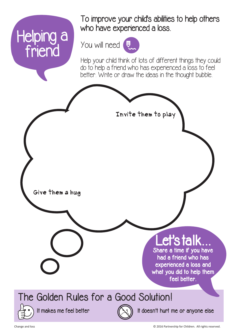## Helping a who have experienced a loss. friend

To improve your child's abilities to help others



Help your child think of lots of different things they could do to help a friend who has experienced a loss to feel better. Write or draw the ideas in the thought bubble.

Invite them to play

Give them a hug

## et's talk

Share a time if you have had a friend who has experienced a loss and what you did to help them feel better.

### The Golden Rules for a Good Solution!



It makes me feel better  $(x_i)$  It doesn't hurt me or anyone else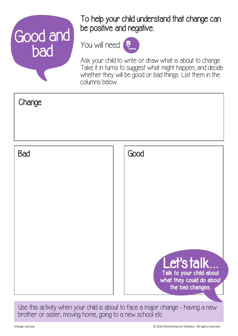# Good and bad You will need

### To help your child understand that change can be positive and negative.



Ask your child to write or draw what is about to change. Take it in turns to suggest what might happen, and decide whether they will be good or bad things. List them in the columns below.



Use this activity when your child is about to face a major change - having a new brother or sister, moving home, going to a new school etc.